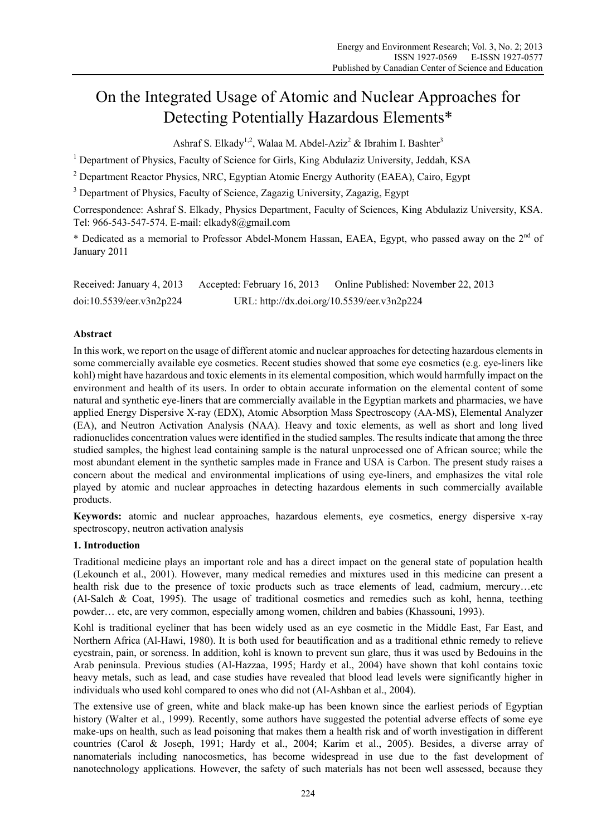# On the Integrated Usage of Atomic and Nuclear Approaches for Detecting Potentially Hazardous Elements\*

Ashraf S. Elkady<sup>1,2</sup>, Walaa M. Abdel-Aziz<sup>2</sup> & Ibrahim I. Bashter<sup>3</sup>

<sup>1</sup> Department of Physics, Faculty of Science for Girls, King Abdulaziz University, Jeddah, KSA

<sup>2</sup> Department Reactor Physics, NRC, Egyptian Atomic Energy Authority (EAEA), Cairo, Egypt

<sup>3</sup> Department of Physics, Faculty of Science, Zagazig University, Zagazig, Egypt

Correspondence: Ashraf S. Elkady, Physics Department, Faculty of Sciences, King Abdulaziz University, KSA. Tel: 966-543-547-574. E-mail: elkady8@gmail.com

\* Dedicated as a memorial to Professor Abdel-Monem Hassan, EAEA, Egypt, who passed away on the 2nd of January 2011

| Received: January 4, 2013 | Accepted: February 16, 2013 | Online Published: November 22, 2013         |
|---------------------------|-----------------------------|---------------------------------------------|
| doi:10.5539/eer.v3n2p224  |                             | URL: http://dx.doi.org/10.5539/eer.v3n2p224 |

## **Abstract**

In this work, we report on the usage of different atomic and nuclear approaches for detecting hazardous elements in some commercially available eye cosmetics. Recent studies showed that some eye cosmetics (e.g. eye-liners like kohl) might have hazardous and toxic elements in its elemental composition, which would harmfully impact on the environment and health of its users. In order to obtain accurate information on the elemental content of some natural and synthetic eye-liners that are commercially available in the Egyptian markets and pharmacies, we have applied Energy Dispersive X-ray (EDX), Atomic Absorption Mass Spectroscopy (AA-MS), Elemental Analyzer (EA), and Neutron Activation Analysis (NAA). Heavy and toxic elements, as well as short and long lived radionuclides concentration values were identified in the studied samples. The results indicate that among the three studied samples, the highest lead containing sample is the natural unprocessed one of African source; while the most abundant element in the synthetic samples made in France and USA is Carbon. The present study raises a concern about the medical and environmental implications of using eye-liners, and emphasizes the vital role played by atomic and nuclear approaches in detecting hazardous elements in such commercially available products.

**Keywords:** atomic and nuclear approaches, hazardous elements, eye cosmetics, energy dispersive x-ray spectroscopy, neutron activation analysis

## **1. Introduction**

Traditional medicine plays an important role and has a direct impact on the general state of population health (Lekounch et al., 2001). However, many medical remedies and mixtures used in this medicine can present a health risk due to the presence of toxic products such as trace elements of lead, cadmium, mercury…etc (Al-Saleh & Coat, 1995). The usage of traditional cosmetics and remedies such as kohl, henna, teething powder… etc, are very common, especially among women, children and babies (Khassouni, 1993).

Kohl is traditional eyeliner that has been widely used as an eye cosmetic in the Middle East, Far East, and Northern Africa (Al-Hawi, 1980). It is both used for beautification and as a traditional ethnic remedy to relieve eyestrain, pain, or soreness. In addition, kohl is known to prevent sun glare, thus it was used by Bedouins in the Arab peninsula. Previous studies (Al-Hazzaa, 1995; Hardy et al., 2004) have shown that kohl contains toxic heavy metals, such as lead, and case studies have revealed that blood lead levels were significantly higher in individuals who used kohl compared to ones who did not (Al-Ashban et al., 2004).

The extensive use of green, white and black make-up has been known since the earliest periods of Egyptian history (Walter et al., 1999). Recently, some authors have suggested the potential adverse effects of some eye make-ups on health, such as lead poisoning that makes them a health risk and of worth investigation in different countries (Carol & Joseph, 1991; Hardy et al., 2004; Karim et al., 2005). Besides, a diverse array of nanomaterials including nanocosmetics, has become widespread in use due to the fast development of nanotechnology applications. However, the safety of such materials has not been well assessed, because they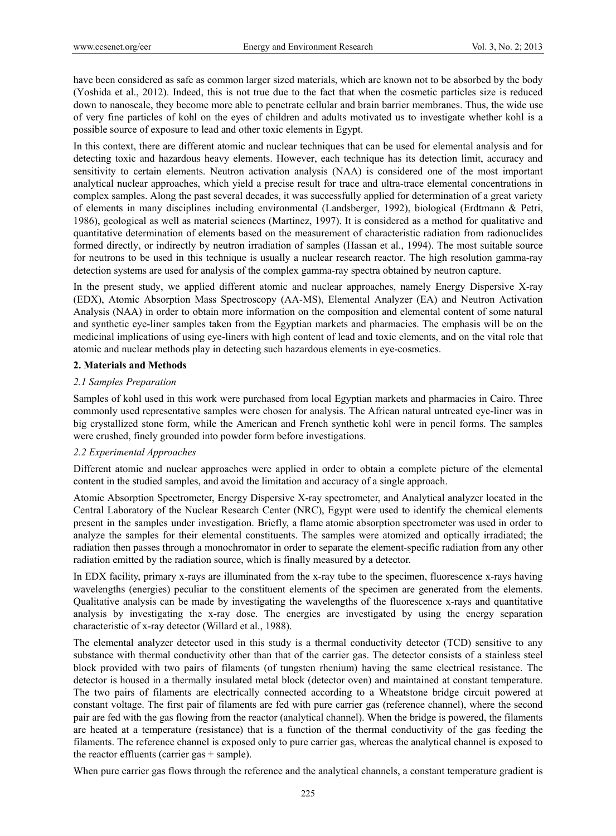have been considered as safe as common larger sized materials, which are known not to be absorbed by the body (Yoshida et al., 2012). Indeed, this is not true due to the fact that when the cosmetic particles size is reduced down to nanoscale, they become more able to penetrate cellular and brain barrier membranes. Thus, the wide use of very fine particles of kohl on the eyes of children and adults motivated us to investigate whether kohl is a possible source of exposure to lead and other toxic elements in Egypt.

In this context, there are different atomic and nuclear techniques that can be used for elemental analysis and for detecting toxic and hazardous heavy elements. However, each technique has its detection limit, accuracy and sensitivity to certain elements. Neutron activation analysis (NAA) is considered one of the most important analytical nuclear approaches, which yield a precise result for trace and ultra-trace elemental concentrations in complex samples. Along the past several decades, it was successfully applied for determination of a great variety of elements in many disciplines including environmental (Landsberger, 1992), biological (Erdtmann & Petri, 1986), geological as well as material sciences (Martinez, 1997). It is considered as a method for qualitative and quantitative determination of elements based on the measurement of characteristic radiation from radionuclides formed directly, or indirectly by neutron irradiation of samples (Hassan et al., 1994). The most suitable source for neutrons to be used in this technique is usually a nuclear research reactor. The high resolution gamma-ray detection systems are used for analysis of the complex gamma-ray spectra obtained by neutron capture.

In the present study, we applied different atomic and nuclear approaches, namely Energy Dispersive X-ray (EDX), Atomic Absorption Mass Spectroscopy (AA-MS), Elemental Analyzer (EA) and Neutron Activation Analysis (NAA) in order to obtain more information on the composition and elemental content of some natural and synthetic eye-liner samples taken from the Egyptian markets and pharmacies. The emphasis will be on the medicinal implications of using eye-liners with high content of lead and toxic elements, and on the vital role that atomic and nuclear methods play in detecting such hazardous elements in eye-cosmetics.

## **2. Materials and Methods**

### *2.1 Samples Preparation*

Samples of kohl used in this work were purchased from local Egyptian markets and pharmacies in Cairo. Three commonly used representative samples were chosen for analysis. The African natural untreated eye-liner was in big crystallized stone form, while the American and French synthetic kohl were in pencil forms. The samples were crushed, finely grounded into powder form before investigations.

## *2.2 Experimental Approaches*

Different atomic and nuclear approaches were applied in order to obtain a complete picture of the elemental content in the studied samples, and avoid the limitation and accuracy of a single approach.

Atomic Absorption Spectrometer, Energy Dispersive X-ray spectrometer, and Analytical analyzer located in the Central Laboratory of the Nuclear Research Center (NRC), Egypt were used to identify the chemical elements present in the samples under investigation. Briefly, a flame atomic absorption spectrometer was used in order to analyze the samples for their elemental constituents. The samples were atomized and optically irradiated; the radiation then passes through a monochromator in order to separate the element-specific radiation from any other radiation emitted by the radiation source, which is finally measured by a detector.

In EDX facility, primary x-rays are illuminated from the x-ray tube to the specimen, fluorescence x-rays having wavelengths (energies) peculiar to the constituent elements of the specimen are generated from the elements. Qualitative analysis can be made by investigating the wavelengths of the fluorescence x-rays and quantitative analysis by investigating the x-ray dose. The energies are investigated by using the energy separation characteristic of x-ray detector (Willard et al., 1988).

The elemental analyzer detector used in this study is a thermal conductivity detector (TCD) sensitive to any substance with thermal conductivity other than that of the carrier gas. The detector consists of a stainless steel block provided with two pairs of filaments (of tungsten rhenium) having the same electrical resistance. The detector is housed in a thermally insulated metal block (detector oven) and maintained at constant temperature. The two pairs of filaments are electrically connected according to a Wheatstone bridge circuit powered at constant voltage. The first pair of filaments are fed with pure carrier gas (reference channel), where the second pair are fed with the gas flowing from the reactor (analytical channel). When the bridge is powered, the filaments are heated at a temperature (resistance) that is a function of the thermal conductivity of the gas feeding the filaments. The reference channel is exposed only to pure carrier gas, whereas the analytical channel is exposed to the reactor effluents (carrier gas + sample).

When pure carrier gas flows through the reference and the analytical channels, a constant temperature gradient is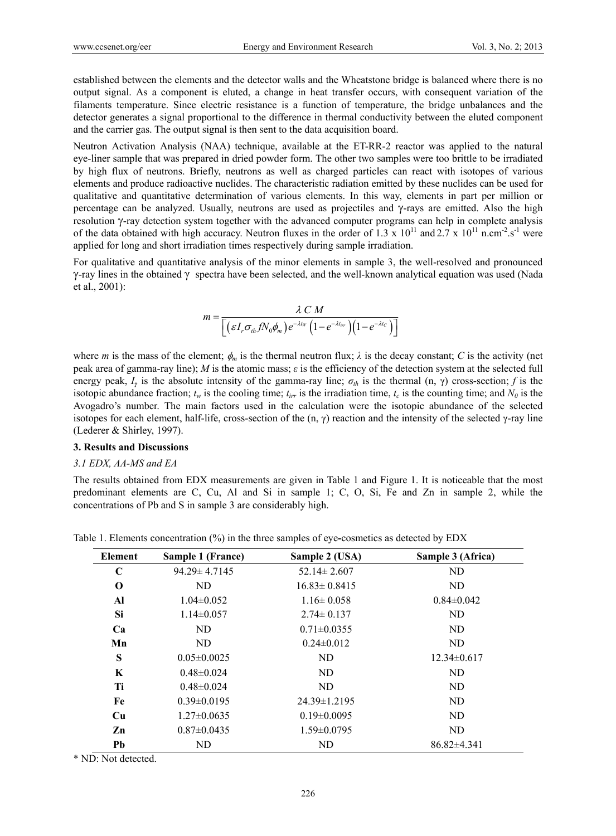established between the elements and the detector walls and the Wheatstone bridge is balanced where there is no output signal. As a component is eluted, a change in heat transfer occurs, with consequent variation of the filaments temperature. Since electric resistance is a function of temperature, the bridge unbalances and the detector generates a signal proportional to the difference in thermal conductivity between the eluted component and the carrier gas. The output signal is then sent to the data acquisition board.

Neutron Activation Analysis (NAA) technique, available at the ET-RR-2 reactor was applied to the natural eye-liner sample that was prepared in dried powder form. The other two samples were too brittle to be irradiated by high flux of neutrons. Briefly, neutrons as well as charged particles can react with isotopes of various elements and produce radioactive nuclides. The characteristic radiation emitted by these nuclides can be used for qualitative and quantitative determination of various elements. In this way, elements in part per million or percentage can be analyzed. Usually, neutrons are used as projectiles and  $\gamma$ -rays are emitted. Also the high resolution  $\gamma$ -ray detection system together with the advanced computer programs can help in complete analysis of the data obtained with high accuracy. Neutron fluxes in the order of 1.3 x  $10^{11}$  and 2.7 x  $10^{11}$  n.cm<sup>-2</sup>.s<sup>-1</sup> were applied for long and short irradiation times respectively during sample irradiation.

For qualitative and quantitative analysis of the minor elements in sample 3, the well-resolved and pronounced  $\gamma$ -ray lines in the obtained  $\gamma$  spectra have been selected, and the well-known analytical equation was used (Nada et al., 2001):

$$
m = \frac{\lambda \, C \, M}{\left[ \left( \varepsilon I_r \sigma_{th} f N_0 \phi_m \right) e^{-\lambda t_W} \left( 1 - e^{-\lambda t_{tr}} \right) \left( 1 - e^{-\lambda t_c} \right) \right]}
$$

where *m* is the mass of the element;  $\phi_m$  is the thermal neutron flux;  $\lambda$  is the decay constant; *C* is the activity (net peak area of gamma-ray line); *M* is the atomic mass; *ε* is the efficiency of the detection system at the selected full energy peak,  $I_y$  is the absolute intensity of the gamma-ray line;  $\sigma_{th}$  is the thermal (n,  $\gamma$ ) cross-section; *f* is the isotopic abundance fraction;  $t_w$  is the cooling time;  $t_{irr}$  is the irradiation time,  $t_c$  is the counting time; and  $N_0$  is the Avogadro's number. The main factors used in the calculation were the isotopic abundance of the selected isotopes for each element, half-life, cross-section of the  $(n, γ)$  reaction and the intensity of the selected γ-ray line (Lederer & Shirley, 1997).

### **3. Results and Discussions**

#### *3.1 EDX, AA-MS and EA*

The results obtained from EDX measurements are given in Table 1 and Figure 1. It is noticeable that the most predominant elements are C, Cu, Al and Si in sample 1; C, O, Si, Fe and Zn in sample 2, while the concentrations of Pb and S in sample 3 are considerably high.

| <b>Element</b> | Sample 1 (France)  | Sample 2 (USA)     | Sample 3 (Africa) |
|----------------|--------------------|--------------------|-------------------|
| $\mathbf C$    | $94.29 \pm 4.7145$ | $52.14 \pm 2.607$  | ND                |
| $\bf{0}$       | ND                 | $16.83 \pm 0.8415$ | ND                |
| Al             | $1.04 \pm 0.052$   | $1.16 \pm 0.058$   | $0.84 \pm 0.042$  |
| <b>Si</b>      | $1.14 \pm 0.057$   | $2.74 \pm 0.137$   | ND                |
| Ca             | ND                 | $0.71 \pm 0.0355$  | ND                |
| Mn             | ND                 | $0.24 \pm 0.012$   | ND                |
| S              | $0.05 \pm 0.0025$  | ND                 | $12.34\pm0.617$   |
| K              | $0.48 \pm 0.024$   | ND                 | ND                |
| Ti             | $0.48 \pm 0.024$   | ND                 | ND.               |
| Fe             | $0.39 \pm 0.0195$  | $24.39 \pm 1.2195$ | ND                |
| Cu             | $1.27 \pm 0.0635$  | $0.19 \pm 0.0095$  | ND                |
| $\mathbf{Zn}$  | $0.87 \pm 0.0435$  | $1.59 \pm 0.0795$  | ND                |
| Pb             | ND                 | ND                 | $86.82\pm4.341$   |

Table 1. Elements concentration (%) in the three samples of eye**-**cosmetics as detected by EDX

\* ND: Not detected.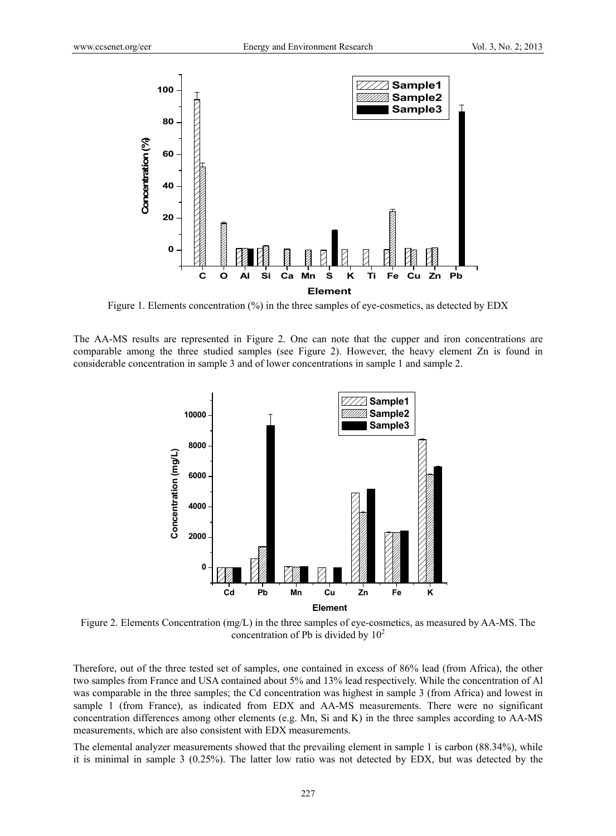

Figure 1. Elements concentration (%) in the three samples of eye-cosmetics, as detected by EDX

The AA-MS results are represented in Figure 2. One can note that the cupper and iron concentrations are comparable among the three studied samples (see Figure 2). However, the heavy element Zn is found in considerable concentration in sample 3 and of lower concentrations in sample 1 and sample 2.



Figure 2. Elements Concentration (mg/L) in the three samples of eye-cosmetics, as measured by AA-MS. The concentration of Pb is divided by  $10<sup>2</sup>$ 

Therefore, out of the three tested set of samples, one contained in excess of 86% lead (from Africa), the other two samples from France and USA contained about 5% and 13% lead respectively. While the concentration of Al was comparable in the three samples; the Cd concentration was highest in sample 3 (from Africa) and lowest in sample 1 (from France), as indicated from EDX and AA-MS measurements. There were no significant concentration differences among other elements (e.g. Mn, Si and K) in the three samples according to AA-MS measurements, which are also consistent with EDX measurements.

The elemental analyzer measurements showed that the prevailing element in sample 1 is carbon (88.34%), while it is minimal in sample 3 (0.25%). The latter low ratio was not detected by EDX, but was detected by the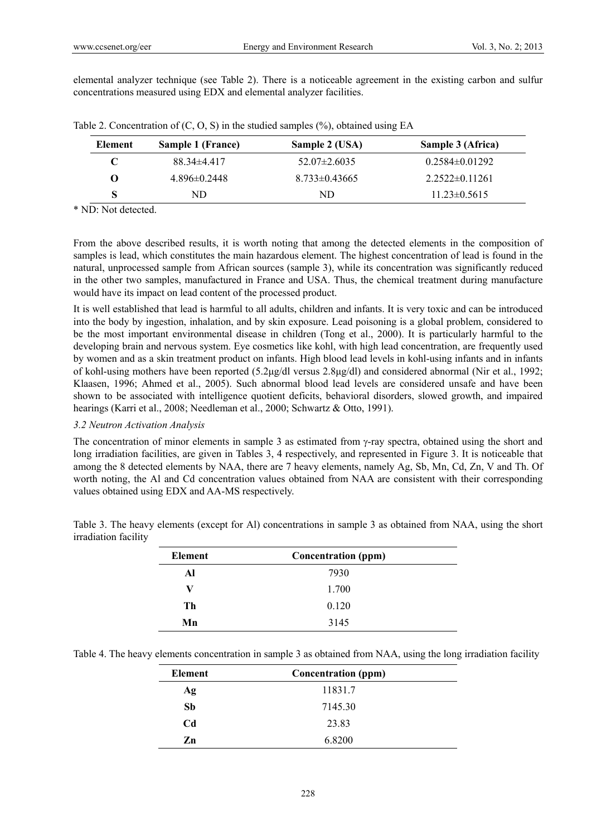elemental analyzer technique (see Table 2). There is a noticeable agreement in the existing carbon and sulfur concentrations measured using EDX and elemental analyzer facilities.

| $0.2584\pm0.01292$   |
|----------------------|
| $2.2522 \pm 0.11261$ |
| $11.23\pm 0.5615$    |
|                      |

Table 2. Concentration of  $(C, O, S)$  in the studied samples  $(\%)$ , obtained using EA

\* ND: Not detected.

From the above described results, it is worth noting that among the detected elements in the composition of samples is lead, which constitutes the main hazardous element. The highest concentration of lead is found in the natural, unprocessed sample from African sources (sample 3), while its concentration was significantly reduced in the other two samples, manufactured in France and USA. Thus, the chemical treatment during manufacture would have its impact on lead content of the processed product.

It is well established that lead is harmful to all adults, children and infants. It is very toxic and can be introduced into the body by ingestion, inhalation, and by skin exposure. Lead poisoning is a global problem, considered to be the most important environmental disease in children (Tong et al., 2000). It is particularly harmful to the developing brain and nervous system. Eye cosmetics like kohl, with high lead concentration, are frequently used by women and as a skin treatment product on infants. High blood lead levels in kohl-using infants and in infants of kohl-using mothers have been reported (5.2μg/dl versus 2.8μg/dl) and considered abnormal (Nir et al., 1992; Klaasen, 1996; Ahmed et al., 2005). Such abnormal blood lead levels are considered unsafe and have been shown to be associated with intelligence quotient deficits, behavioral disorders, slowed growth, and impaired hearings (Karri et al., 2008; Needleman et al., 2000; Schwartz & Otto, 1991).

## *3.2 Neutron Activation Analysis*

The concentration of minor elements in sample 3 as estimated from  $\gamma$ -ray spectra, obtained using the short and long irradiation facilities, are given in Tables 3, 4 respectively, and represented in Figure 3. It is noticeable that among the 8 detected elements by NAA, there are 7 heavy elements, namely Ag, Sb, Mn, Cd, Zn, V and Th. Of worth noting, the Al and Cd concentration values obtained from NAA are consistent with their corresponding values obtained using EDX and AA-MS respectively.

| Element | <b>Concentration (ppm)</b> |
|---------|----------------------------|
| Al      | 7930                       |
| V       | 1.700                      |
| Th      | 0.120                      |
| Mn      | 3145                       |

Table 3. The heavy elements (except for Al) concentrations in sample 3 as obtained from NAA, using the short irradiation facility

Table 4. The heavy elements concentration in sample 3 as obtained from NAA, using the long irradiation facility

| Element | <b>Concentration</b> (ppm) |  |
|---------|----------------------------|--|
| Ag      | 11831.7                    |  |
| Sb      | 7145.30                    |  |
| Cd      | 23.83                      |  |
| Zn      | 6.8200                     |  |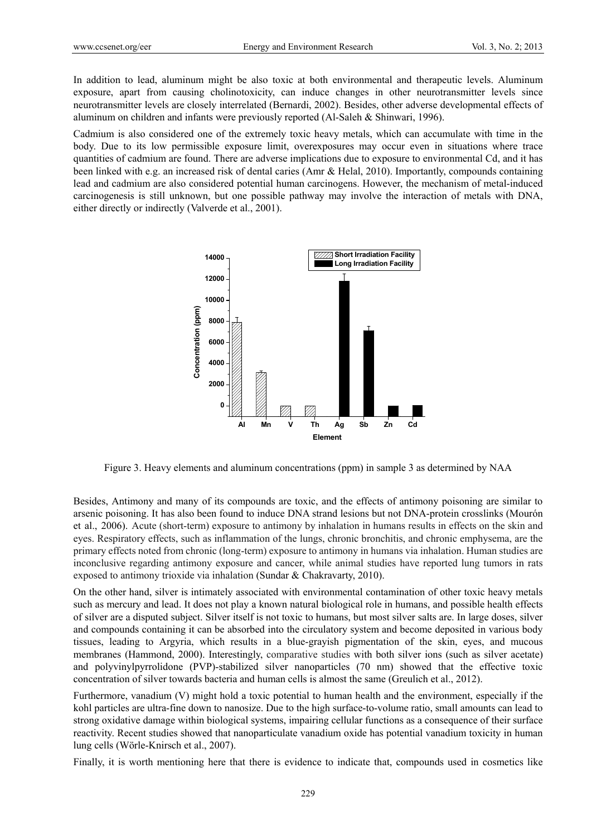In addition to lead, aluminum might be also toxic at both environmental and therapeutic levels. Aluminum exposure, apart from causing cholinotoxicity, can induce changes in other neurotransmitter levels since neurotransmitter levels are closely interrelated (Bernardi, 2002). Besides, other adverse developmental effects of aluminum on children and infants were previously reported (Al-Saleh & Shinwari, 1996).

Cadmium is also considered one of the extremely toxic heavy metals, which can accumulate with time in the body. Due to its low permissible exposure limit, overexposures may occur even in situations where trace quantities of cadmium are found. There are adverse implications due to exposure to environmental Cd, and it has been linked with e.g. an increased risk of dental caries (Amr & Helal, 2010). Importantly, compounds containing lead and cadmium are also considered potential human carcinogens. However, the mechanism of metal-induced carcinogenesis is still unknown, but one possible pathway may involve the interaction of metals with DNA, either directly or indirectly (Valverde et al., 2001).



Figure 3. Heavy elements and aluminum concentrations (ppm) in sample 3 as determined by NAA

Besides, Antimony and many of its compounds are toxic, and the effects of antimony poisoning are similar to arsenic poisoning. It has also been found to induce DNA strand lesions but not DNA-protein crosslinks (Mourón et al., 2006). Acute (short-term) exposure to antimony by inhalation in humans results in effects on the skin and eyes. Respiratory effects, such as inflammation of the lungs, chronic bronchitis, and chronic emphysema, are the primary effects noted from chronic (long-term) exposure to antimony in humans via inhalation. Human studies are inconclusive regarding antimony exposure and cancer, while animal studies have reported lung tumors in rats exposed to antimony trioxide via inhalation (Sundar & Chakravarty, 2010).

On the other hand, silver is intimately associated with environmental contamination of other toxic heavy metals such as mercury and lead. It does not play a known natural biological role in humans, and possible health effects of silver are a disputed subject. Silver itself is not toxic to humans, but most silver salts are. In large doses, silver and compounds containing it can be absorbed into the circulatory system and become deposited in various body tissues, leading to Argyria, which results in a blue-grayish pigmentation of the skin, eyes, and mucous membranes (Hammond, 2000). Interestingly, comparative studies with both silver ions (such as silver acetate) and polyvinylpyrrolidone (PVP)-stabilized silver nanoparticles (70 nm) showed that the effective toxic concentration of silver towards bacteria and human cells is almost the same (Greulich et al., 2012).

Furthermore, vanadium (V) might hold a toxic potential to human health and the environment, especially if the kohl particles are ultra-fine down to nanosize. Due to the high surface-to-volume ratio, small amounts can lead to strong oxidative damage within biological systems, impairing cellular functions as a consequence of their surface reactivity. Recent studies showed that nanoparticulate vanadium oxide has potential vanadium toxicity in human lung cells (Wörle-Knirsch et al., 2007).

Finally, it is worth mentioning here that there is evidence to indicate that, compounds used in cosmetics like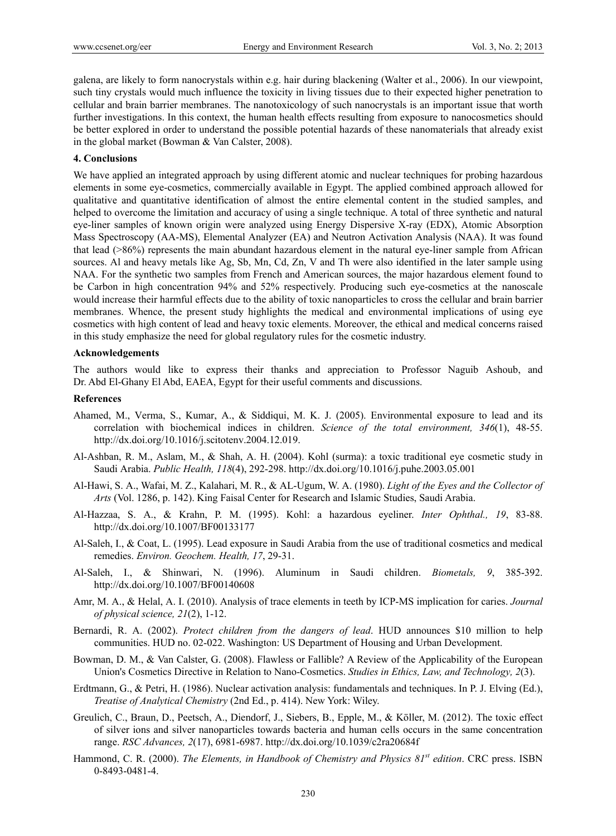galena, are likely to form nanocrystals within e.g. hair during blackening (Walter et al., 2006). In our viewpoint, such tiny crystals would much influence the toxicity in living tissues due to their expected higher penetration to cellular and brain barrier membranes. The nanotoxicology of such nanocrystals is an important issue that worth further investigations. In this context, the human health effects resulting from exposure to nanocosmetics should be better explored in order to understand the possible potential hazards of these nanomaterials that already exist in the global market (Bowman & Van Calster, 2008).

## **4. Conclusions**

We have applied an integrated approach by using different atomic and nuclear techniques for probing hazardous elements in some eye-cosmetics, commercially available in Egypt. The applied combined approach allowed for qualitative and quantitative identification of almost the entire elemental content in the studied samples, and helped to overcome the limitation and accuracy of using a single technique. A total of three synthetic and natural eye-liner samples of known origin were analyzed using Energy Dispersive X-ray (EDX), Atomic Absorption Mass Spectroscopy (AA-MS), Elemental Analyzer (EA) and Neutron Activation Analysis (NAA). It was found that lead (>86%) represents the main abundant hazardous element in the natural eye-liner sample from African sources. Al and heavy metals like Ag, Sb, Mn, Cd, Zn, V and Th were also identified in the later sample using NAA. For the synthetic two samples from French and American sources, the major hazardous element found to be Carbon in high concentration 94% and 52% respectively. Producing such eye-cosmetics at the nanoscale would increase their harmful effects due to the ability of toxic nanoparticles to cross the cellular and brain barrier membranes. Whence, the present study highlights the medical and environmental implications of using eye cosmetics with high content of lead and heavy toxic elements. Moreover, the ethical and medical concerns raised in this study emphasize the need for global regulatory rules for the cosmetic industry.

#### **Acknowledgements**

The authors would like to express their thanks and appreciation to Professor Naguib Ashoub, and Dr. Abd El-Ghany El Abd, EAEA, Egypt for their useful comments and discussions.

#### **References**

- Ahamed, M., Verma, S., Kumar, A., & Siddiqui, M. K. J. (2005). Environmental exposure to lead and its correlation with biochemical indices in children. *Science of the total environment, 346*(1), 48-55. http://dx.doi.org/10.1016/j.scitotenv.2004.12.019.
- Al-Ashban, R. M., Aslam, M., & Shah, A. H. (2004). Kohl (surma): a toxic traditional eye cosmetic study in Saudi Arabia. *Public Health, 118*(4), 292-298. http://dx.doi.org/10.1016/j.puhe.2003.05.001
- Al-Hawi, S. A., Wafai, M. Z., Kalahari, M. R., & AL-Ugum, W. A. (1980). *Light of the Eyes and the Collector of Arts* (Vol. 1286, p. 142). King Faisal Center for Research and Islamic Studies, Saudi Arabia.
- Al-Hazzaa, S. A., & Krahn, P. M. (1995). Kohl: a hazardous eyeliner. *Inter Ophthal., 19*, 83-88. http://dx.doi.org/10.1007/BF00133177
- Al-Saleh, I., & Coat, L. (1995). Lead exposure in Saudi Arabia from the use of traditional cosmetics and medical remedies. *Environ. Geochem. Health, 17*, 29-31.
- Al-Saleh, I., & Shinwari, N. (1996). Aluminum in Saudi children. *Biometals, 9*, 385-392. http://dx.doi.org/10.1007/BF00140608
- Amr, M. A., & Helal, A. I. (2010). Analysis of trace elements in teeth by ICP-MS implication for caries. *Journal of physical science, 21*(2), 1-12.
- Bernardi, R. A. (2002). *Protect children from the dangers of lead*. HUD announces \$10 million to help communities. HUD no. 02-022. Washington: US Department of Housing and Urban Development.
- Bowman, D. M., & Van Calster, G. (2008). Flawless or Fallible? A Review of the Applicability of the European Union's Cosmetics Directive in Relation to Nano-Cosmetics. *Studies in Ethics, Law, and Technology, 2*(3).
- Erdtmann, G., & Petri, H. (1986). Nuclear activation analysis: fundamentals and techniques. In P. J. Elving (Ed.), *Treatise of Analytical Chemistry* (2nd Ed., p. 414). New York: Wiley.
- Greulich, C., Braun, D., Peetsch, A., Diendorf, J., Siebers, B., Epple, M., & Köller, M. (2012). The toxic effect of silver ions and silver nanoparticles towards bacteria and human cells occurs in the same concentration range. *RSC Advances, 2*(17), 6981-6987. http://dx.doi.org/10.1039/c2ra20684f
- Hammond, C. R. (2000). *The Elements, in Handbook of Chemistry and Physics 81st edition*. CRC press. ISBN 0-8493-0481-4.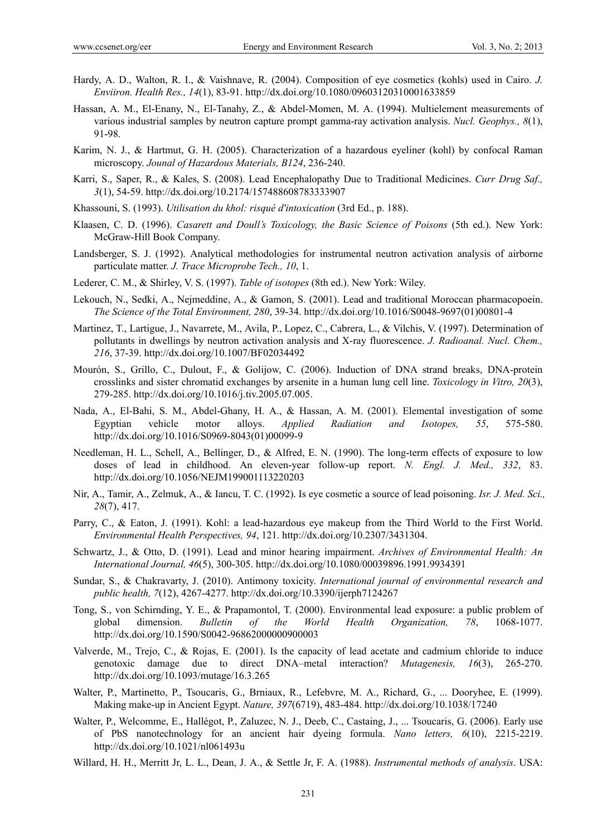- Hardy, A. D., Walton, R. I., & Vaishnave, R. (2004). Composition of eye cosmetics (kohls) used in Cairo. *J. Enviiron. Health Res., 14*(1), 83-91. http://dx.doi.org/10.1080/09603120310001633859
- Hassan, A. M., El-Enany, N., El-Tanahy, Z., & Abdel-Momen, M. A. (1994). Multielement measurements of various industrial samples by neutron capture prompt gamma-ray activation analysis. *Nucl. Geophys., 8*(1), 91-98.
- Karim, N. J., & Hartmut, G. H. (2005). Characterization of a hazardous eyeliner (kohl) by confocal Raman microscopy. *Jounal of Hazardous Materials, B124*, 236-240.
- Karri, S., Saper, R., & Kales, S. (2008). Lead Encephalopathy Due to Traditional Medicines. *Curr Drug Saf., 3*(1), 54-59. http://dx.doi.org/10.2174/157488608783333907
- Khassouni, S. (1993). *Utilisation du khol: risqué d'intoxication* (3rd Ed., p. 188).
- Klaasen, C. D. (1996). *Casarett and Doull's Toxicology, the Basic Science of Poisons* (5th ed.). New York: McGraw-Hill Book Company.
- Landsberger, S. J. (1992). Analytical methodologies for instrumental neutron activation analysis of airborne particulate matter. *J. Trace Microprobe Tech., 10*, 1.
- Lederer, C. M., & Shirley, V. S. (1997). *Table of isotopes* (8th ed.). New York: Wiley.
- Lekouch, N., Sedki, A., Nejmeddine, A., & Gamon, S. (2001). Lead and traditional Moroccan pharmacopoein. *The Science of the Total Environment, 280*, 39-34. http://dx.doi.org/10.1016/S0048-9697(01)00801-4
- Martinez, T., Lartigue, J., Navarrete, M., Avila, P., Lopez, C., Cabrera, L., & Vilchis, V. (1997). Determination of pollutants in dwellings by neutron activation analysis and X-ray fluorescence. *J. Radioanal. Nucl. Chem., 216*, 37-39. http://dx.doi.org/10.1007/BF02034492
- Mourón, S., Grillo, C., Dulout, F., & Golijow, C. (2006). Induction of DNA strand breaks, DNA-protein crosslinks and sister chromatid exchanges by arsenite in a human lung cell line. *Toxicology in Vitro, 20*(3), 279-285. http://dx.doi.org/10.1016/j.tiv.2005.07.005.
- Nada, A., El-Bahi, S. M., Abdel-Ghany, H. A., & Hassan, A. M. (2001). Elemental investigation of some Egyptian vehicle motor alloys. *Applied Radiation and Isotopes, 55*, 575-580. http://dx.doi.org/10.1016/S0969-8043(01)00099-9
- Needleman, H. L., Schell, A., Bellinger, D., & Alfred, E. N. (1990). The long-term effects of exposure to low doses of lead in childhood. An eleven-year follow-up report. *N. Engl. J. Med., 332*, 83. http://dx.doi.org/10.1056/NEJM199001113220203
- Nir, A., Tamir, A., Zelmuk, A., & Iancu, T. C. (1992). Is eye cosmetic a source of lead poisoning. *Isr. J. Med. Sci., 28*(7), 417.
- Parry, C., & Eaton, J. (1991). Kohl: a lead-hazardous eye makeup from the Third World to the First World. *Environmental Health Perspectives, 94*, 121. http://dx.doi.org/10.2307/3431304.
- Schwartz, J., & Otto, D. (1991). Lead and minor hearing impairment. *Archives of Environmental Health: An International Journal, 46*(5), 300-305. http://dx.doi.org/10.1080/00039896.1991.9934391
- Sundar, S., & Chakravarty, J. (2010). Antimony toxicity. *International journal of environmental research and public health, 7*(12), 4267-4277. http://dx.doi.org/10.3390/ijerph7124267
- Tong, S., von Schirnding, Y. E., & Prapamontol, T. (2000). Environmental lead exposure: a public problem of global dimension. *Bulletin of the World Health Organization, 78*, 1068-1077. http://dx.doi.org/10.1590/S0042-96862000000900003
- Valverde, M., Trejo, C., & Rojas, E. (2001). Is the capacity of lead acetate and cadmium chloride to induce genotoxic damage due to direct DNA–metal interaction? *Mutagenesis, 16*(3), 265-270. http://dx.doi.org/10.1093/mutage/16.3.265
- Walter, P., Martinetto, P., Tsoucaris, G., Brniaux, R., Lefebvre, M. A., Richard, G., ... Dooryhee, E. (1999). Making make-up in Ancient Egypt. *Nature, 397*(6719), 483-484. http://dx.doi.org/10.1038/17240
- Walter, P., Welcomme, E., Hallégot, P., Zaluzec, N. J., Deeb, C., Castaing, J., ... Tsoucaris, G. (2006). Early use of PbS nanotechnology for an ancient hair dyeing formula. *Nano letters, 6*(10), 2215-2219. http://dx.doi.org/10.1021/nl061493u
- Willard, H. H., Merritt Jr, L. L., Dean, J. A., & Settle Jr, F. A. (1988). *Instrumental methods of analysis*. USA: